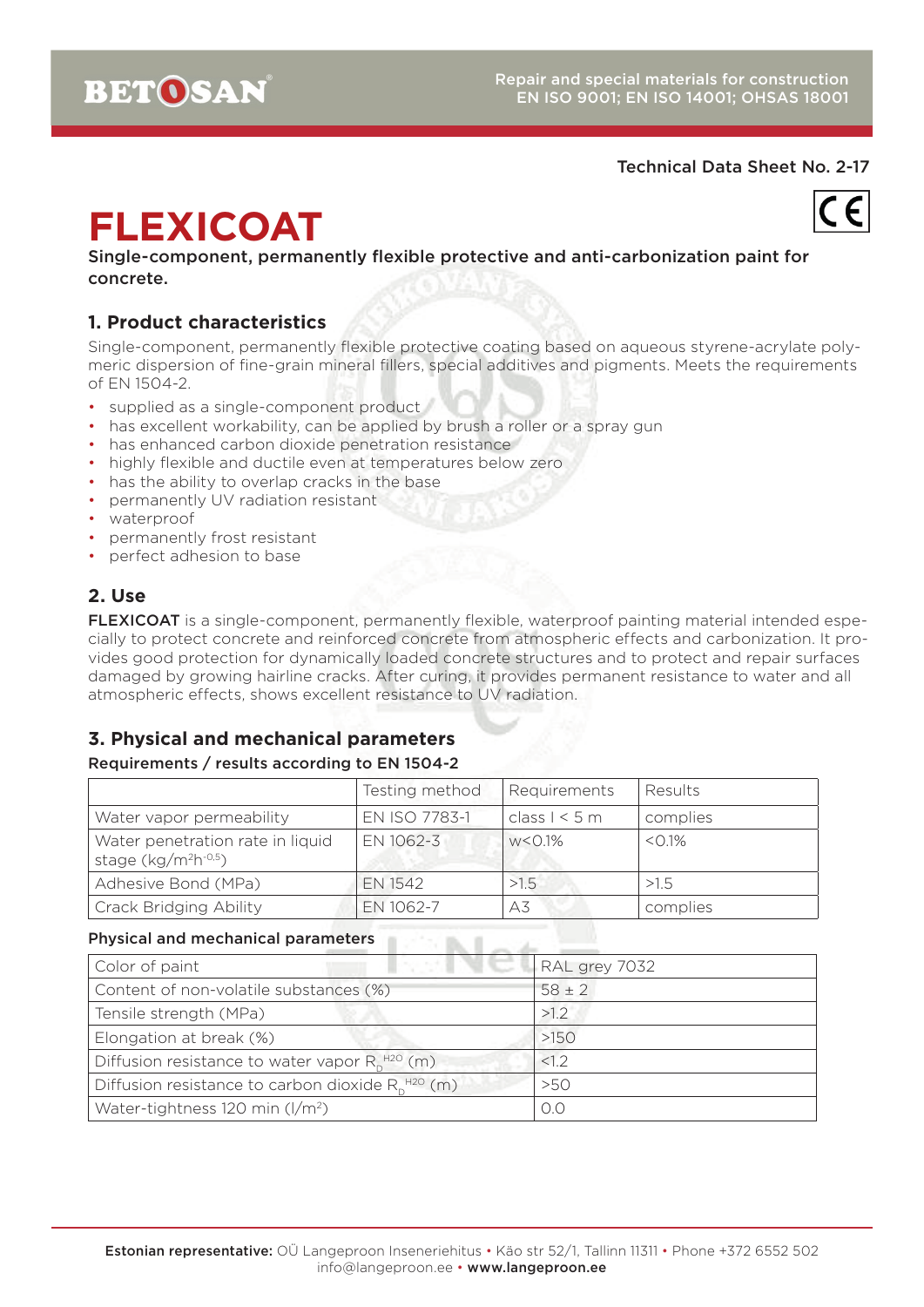**BETOSAN** 

## Technical Data Sheet No. 2-17

# **FLEXICOAT**

Single-component, permanently flexible protective and anti-carbonization paint for concrete.

# **1. Product characteristics**

Single-component, permanently flexible protective coating based on aqueous styrene-acrylate polymeric dispersion of fine-grain mineral fillers, special additives and pigments. Meets the requirements of EN 1504-2.

- supplied as a single-component product
- has excellent workability, can be applied by brush a roller or a spray gun
- has enhanced carbon dioxide penetration resistance
- highly flexible and ductile even at temperatures below zero
- has the ability to overlap cracks in the base
- permanently UV radiation resistant
- waterproof
- permanently frost resistant
- perfect adhesion to base

# **2. Use**

FLEXICOAT is a single-component, permanently flexible, waterproof painting material intended especially to protect concrete and reinforced concrete from atmospheric effects and carbonization. It provides good protection for dynamically loaded concrete structures and to protect and repair surfaces damaged by growing hairline cracks. After curing, it provides permanent resistance to water and all atmospheric effects, shows excellent resistance to UV radiation.

# **3. Physical and mechanical parameters**

#### Requirements / results according to EN 1504-2

|                                                                     | Testing method | Requirements    | Results  |
|---------------------------------------------------------------------|----------------|-----------------|----------|
| Water vapor permeability                                            | EN ISO 7783-1  | class $1 < 5$ m | complies |
| Water penetration rate in liquid<br>stage (kg/m <sup>2</sup> h-0,5) | EN 1062-3      | $w < 0.1\%$     | $<$ 0.1% |
| Adhesive Bond (MPa)                                                 | EN 1542        | >1.5            | >1.5     |
| Crack Bridging Ability                                              | EN 1062-7      | A3              | complies |

#### Physical and mechanical parameters and the state of the state of the state of the state of the state of the state of the state of the state of the state of the state of the state of the state of the state of the state of t

| en ve<br>Color of paint                                       | RAL grey 7032 |
|---------------------------------------------------------------|---------------|
| Content of non-volatile substances (%)                        | $58 \pm 2$    |
| Tensile strength (MPa)                                        | >1.2          |
| Elongation at break (%)                                       | >150          |
| Diffusion resistance to water vapor $R_h^{H20}$ (m)           | <1.2          |
| Diffusion resistance to carbon dioxide $R_h^{\text{H2O}}$ (m) | >50           |
| Water-tightness 120 min (I/m <sup>2</sup> )                   | O.O           |

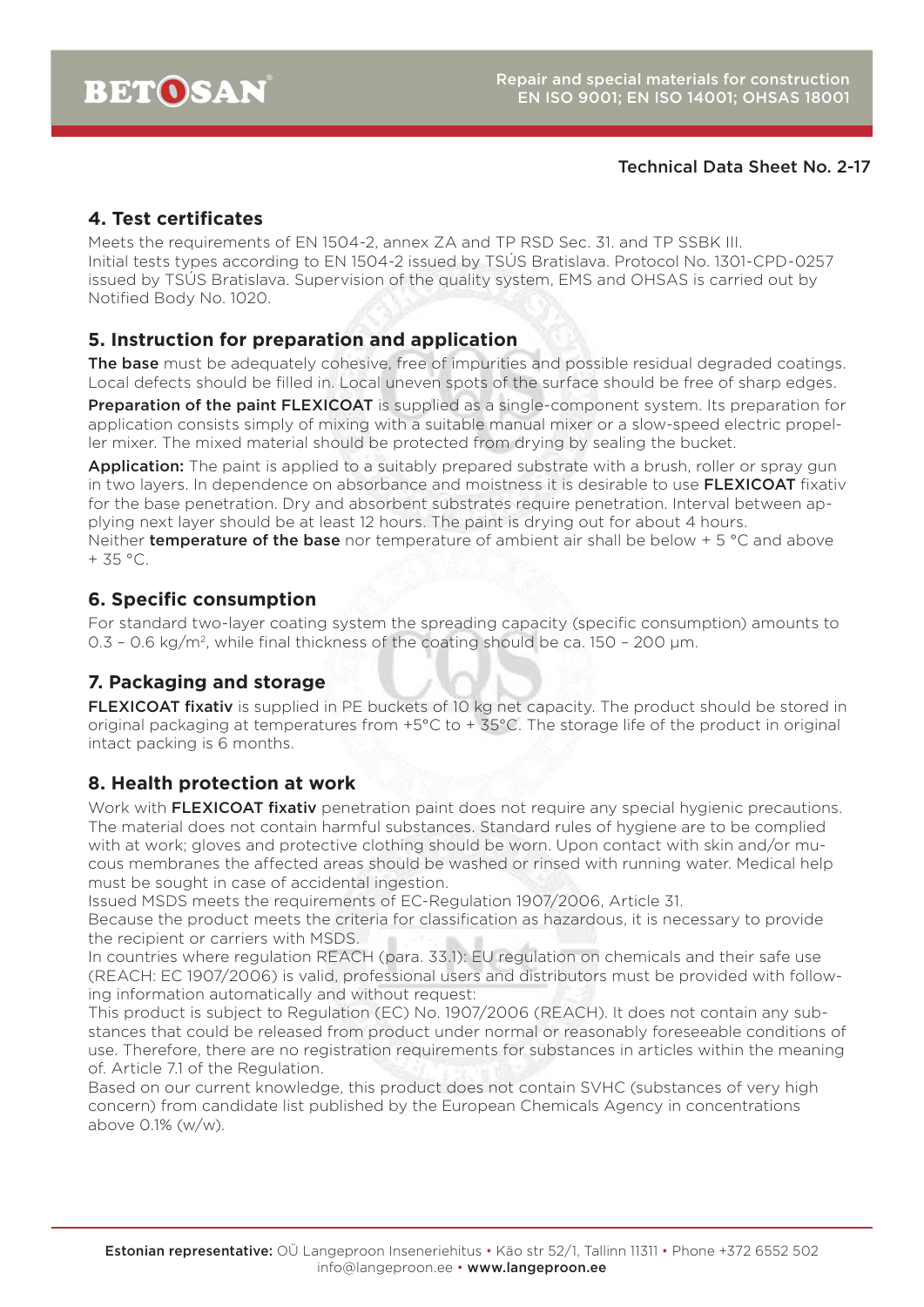#### Technical Data Sheet No. 2-17

# **4. Test certificates**

Meets the requirements of EN 1504-2, annex ZA and TP RSD Sec. 31. and TP SSBK III. Initial tests types according to EN 1504-2 issued by TSÚS Bratislava. Protocol No. 1301-CPD-0257 issued by TSÚS Bratislava. Supervision of the quality system, EMS and OHSAS is carried out by Notified Body No. 1020.

# **5. Instruction for preparation and application**

The base must be adequately cohesive, free of impurities and possible residual degraded coatings. Local defects should be filled in. Local uneven spots of the surface should be free of sharp edges.

**Preparation of the paint FLEXICOAT** is supplied as a single-component system. Its preparation for application consists simply of mixing with a suitable manual mixer or a slow-speed electric propeller mixer. The mixed material should be protected from drying by sealing the bucket.

**Application:** The paint is applied to a suitably prepared substrate with a brush, roller or spray gun in two layers. In dependence on absorbance and moistness it is desirable to use **FLEXICOAT** fixativ for the base penetration. Dry and absorbent substrates require penetration. Interval between applying next layer should be at least 12 hours. The paint is drying out for about 4 hours. Neither **temperature of the base** nor temperature of ambient air shall be below  $+5$  °C and above  $+ 35 °C$ .

#### **6. Specific consumption**

For standard two-layer coating system the spreading capacity (specific consumption) amounts to  $0.3 - 0.6$  kg/m<sup>2</sup>, while final thickness of the coating should be ca. 150 - 200  $\mu$ m.

## **7. Packaging and storage**

FLEXICOAT fixativ is supplied in PE buckets of 10 kg net capacity. The product should be stored in original packaging at temperatures from +5°C to + 35°C. The storage life of the product in original intact packing is 6 months.

## **8. Health protection at work**

Work with FLEXICOAT fixativ penetration paint does not require any special hygienic precautions. The material does not contain harmful substances. Standard rules of hygiene are to be complied with at work; gloves and protective clothing should be worn. Upon contact with skin and/or mucous membranes the affected areas should be washed or rinsed with running water. Medical help must be sought in case of accidental ingestion.

Issued MSDS meets the requirements of EC-Regulation 1907/2006, Article 31.

Because the product meets the criteria for classification as hazardous, it is necessary to provide the recipient or carriers with MSDS.

In countries where regulation REACH (para. 33.1): EU regulation on chemicals and their safe use (REACH: EC 1907/2006) is valid, professional users and distributors must be provided with following information automatically and without request:

This product is subject to Regulation (EC) No. 1907/2006 (REACH). It does not contain any substances that could be released from product under normal or reasonably foreseeable conditions of use. Therefore, there are no registration requirements for substances in articles within the meaning of. Article 7.1 of the Regulation.

Based on our current knowledge, this product does not contain SVHC (substances of very high concern) from candidate list published by the European Chemicals Agency in concentrations above 0.1% (w/w).